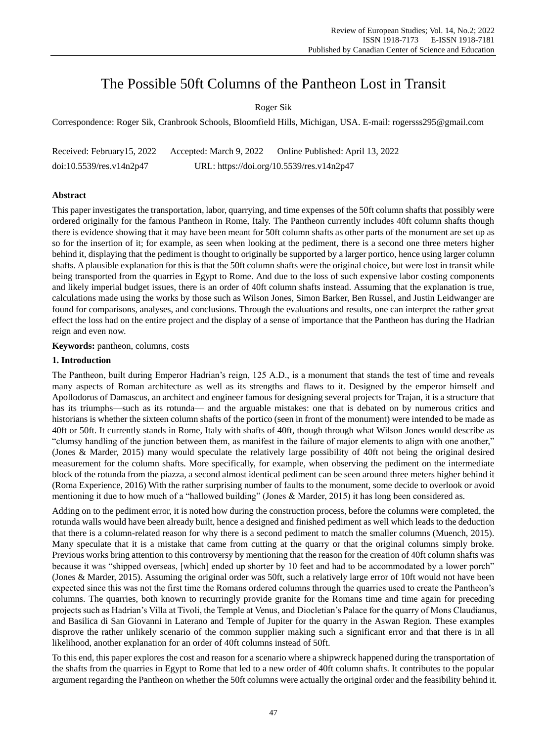# The Possible 50ft Columns of the Pantheon Lost in Transit

Roger Sik

Correspondence: Roger Sik, Cranbrook Schools, Bloomfield Hills, Michigan, USA. E-mail: rogersss295@gmail.com

Received: February15, 2022 Accepted: March 9, 2022 Online Published: April 13, 2022 doi:10.5539/res.v14n2p47 URL: https://doi.org/10.5539/res.v14n2p47

# **Abstract**

This paper investigates the transportation, labor, quarrying, and time expenses of the 50ft column shafts that possibly were ordered originally for the famous Pantheon in Rome, Italy. The Pantheon currently includes 40ft column shafts though there is evidence showing that it may have been meant for 50ft column shafts as other parts of the monument are set up as so for the insertion of it; for example, as seen when looking at the pediment, there is a second one three meters higher behind it, displaying that the pediment is thought to originally be supported by a larger portico, hence using larger column shafts. A plausible explanation for this is that the 50ft column shafts were the original choice, but were lost in transit while being transported from the quarries in Egypt to Rome. And due to the loss of such expensive labor costing components and likely imperial budget issues, there is an order of 40ft column shafts instead. Assuming that the explanation is true, calculations made using the works by those such as Wilson Jones, Simon Barker, Ben Russel, and Justin Leidwanger are found for comparisons, analyses, and conclusions. Through the evaluations and results, one can interpret the rather great effect the loss had on the entire project and the display of a sense of importance that the Pantheon has during the Hadrian reign and even now.

**Keywords:** pantheon, columns, costs

# **1. Introduction**

The Pantheon, built during Emperor Hadrian's reign, 125 A.D., is a monument that stands the test of time and reveals many aspects of Roman architecture as well as its strengths and flaws to it. Designed by the emperor himself and Apollodorus of Damascus, an architect and engineer famous for designing several projects for Trajan, it is a structure that has its triumphs—such as its rotunda— and the arguable mistakes: one that is debated on by numerous critics and historians is whether the sixteen column shafts of the portico (seen in front of the monument) were intended to be made as 40ft or 50ft. It currently stands in Rome, Italy with shafts of 40ft, though through what Wilson Jones would describe as "clumsy handling of the junction between them, as manifest in the failure of major elements to align with one another," (Jones & Marder, 2015) many would speculate the relatively large possibility of 40ft not being the original desired measurement for the column shafts. More specifically, for example, when observing the pediment on the intermediate block of the rotunda from the piazza, a second almost identical pediment can be seen around three meters higher behind it (Roma Experience, 2016) With the rather surprising number of faults to the monument, some decide to overlook or avoid mentioning it due to how much of a "hallowed building" (Jones & Marder, 2015) it has long been considered as.

Adding on to the pediment error, it is noted how during the construction process, before the columns were completed, the rotunda walls would have been already built, hence a designed and finished pediment as well which leads to the deduction that there is a column-related reason for why there is a second pediment to match the smaller columns (Muench, 2015). Many speculate that it is a mistake that came from cutting at the quarry or that the original columns simply broke. Previous works bring attention to this controversy by mentioning that the reason for the creation of 40ft column shafts was because it was "shipped overseas, [which] ended up shorter by 10 feet and had to be accommodated by a lower porch" (Jones & Marder, 2015). Assuming the original order was 50ft, such a relatively large error of 10ft would not have been expected since this was not the first time the Romans ordered columns through the quarries used to create the Pantheon's columns. The quarries, both known to recurringly provide granite for the Romans time and time again for preceding projects such as Hadrian's Villa at Tivoli, the Temple at Venus, and Diocletian's Palace for the quarry of Mons Claudianus, and Basilica di San Giovanni in Laterano and Temple of Jupiter for the quarry in the Aswan Region. These examples disprove the rather unlikely scenario of the common supplier making such a significant error and that there is in all likelihood, another explanation for an order of 40ft columns instead of 50ft.

To this end, this paper explores the cost and reason for a scenario where a shipwreck happened during the transportation of the shafts from the quarries in Egypt to Rome that led to a new order of 40ft column shafts. It contributes to the popular argument regarding the Pantheon on whether the 50ft columns were actually the original order and the feasibility behind it.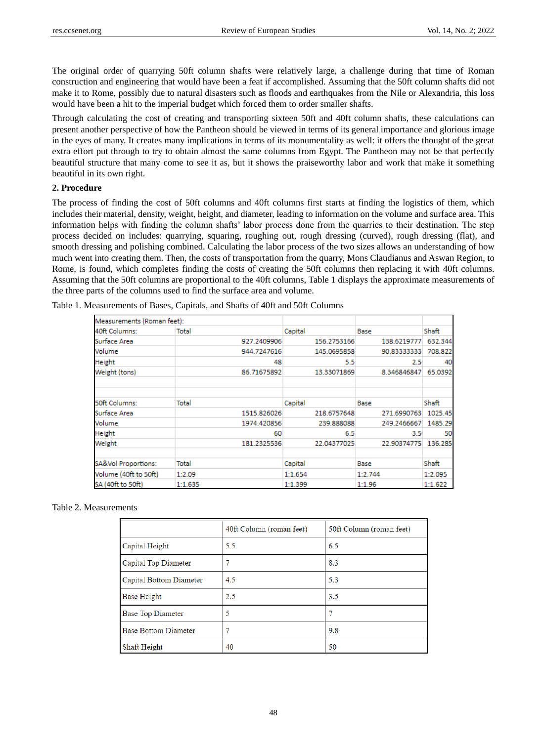The original order of quarrying 50ft column shafts were relatively large, a challenge during that time of Roman construction and engineering that would have been a feat if accomplished. Assuming that the 50ft column shafts did not make it to Rome, possibly due to natural disasters such as floods and earthquakes from the Nile or Alexandria, this loss would have been a hit to the imperial budget which forced them to order smaller shafts.

Through calculating the cost of creating and transporting sixteen 50ft and 40ft column shafts, these calculations can present another perspective of how the Pantheon should be viewed in terms of its general importance and glorious image in the eyes of many. It creates many implications in terms of its monumentality as well: it offers the thought of the great extra effort put through to try to obtain almost the same columns from Egypt. The Pantheon may not be that perfectly beautiful structure that many come to see it as, but it shows the praiseworthy labor and work that make it something beautiful in its own right.

# **2. Procedure**

The process of finding the cost of 50ft columns and 40ft columns first starts at finding the logistics of them, which includes their material, density, weight, height, and diameter, leading to information on the volume and surface area. This information helps with finding the column shafts' labor process done from the quarries to their destination. The step process decided on includes: quarrying, squaring, roughing out, rough dressing (curved), rough dressing (flat), and smooth dressing and polishing combined. Calculating the labor process of the two sizes allows an understanding of how much went into creating them. Then, the costs of transportation from the quarry, Mons Claudianus and Aswan Region, to Rome, is found, which completes finding the costs of creating the 50ft columns then replacing it with 40ft columns. Assuming that the 50ft columns are proportional to the 40ft columns, Table 1 displays the approximate measurements of the three parts of the columns used to find the surface area and volume.

| Measurements (Roman feet): |             |             |             |         |
|----------------------------|-------------|-------------|-------------|---------|
| 40ft Columns:              | Total       | Capital     | Base        | Shaft   |
| Surface Area               | 927.2409906 | 156.2753166 | 138.6219777 | 632.344 |
| Volume                     | 944.7247616 | 145.0695858 | 90.83333333 | 708.822 |
| <b>Height</b>              | 48          | 5.5         | 2.5         | 40      |
| Weight (tons)              | 86.71675892 | 13.33071869 | 8.346846847 | 65.0392 |
|                            |             |             |             |         |
| 50ft Columns:              | Total       | Capital     | Base        | Shaft   |
| Surface Area               | 1515.826026 | 218.6757648 | 271.6990763 | 1025.45 |
| Volume                     | 1974.420856 | 239.888088  | 249.2466667 | 1485.29 |
| Height                     | 60          | 6.5         | 3.5         | 50      |
| Weight                     | 181.2325536 | 22.04377025 | 22.90374775 | 136.285 |
| SA&Vol Proportions:        | Total       | Capital     | Base        | Shaft   |
| Volume (40ft to 50ft)      | 1:2.09      | 1:1.654     | 1:2.744     | 1:2.095 |
| SA (40ft to 50ft)          | 1:1.635     | 1:1.399     | 1:1.96      | 1:1.622 |

Table 1. Measurements of Bases, Capitals, and Shafts of 40ft and 50ft Columns

#### Table 2. Measurements

|                             | 40ft Column (roman feet) | 50ft Column (roman feet) |
|-----------------------------|--------------------------|--------------------------|
| Capital Height              | 5.5                      | 6.5                      |
| Capital Top Diameter        |                          | 8.3                      |
| Capital Bottom Diameter     | 4.5                      | 5.3                      |
| Base Height                 | 2.5                      | 3.5                      |
| Base Top Diameter           | 5                        | 7                        |
| <b>Base Bottom Diameter</b> |                          | 9.8                      |
| Shaft Height                | 40                       | 50                       |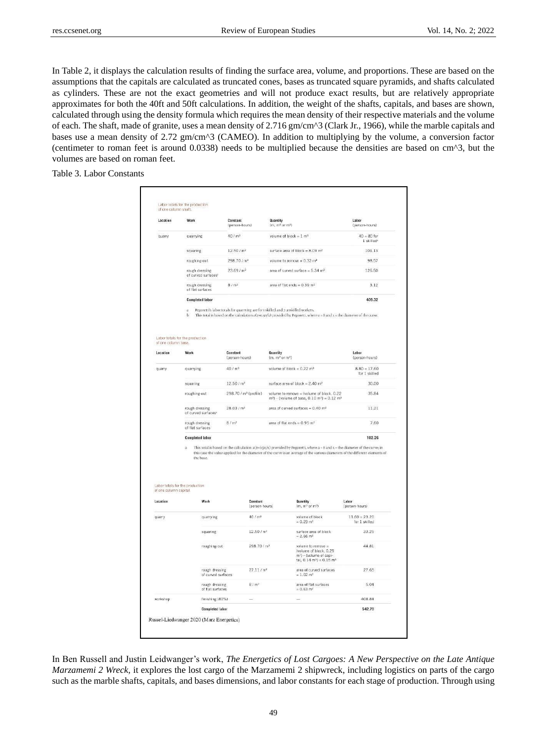In Table 2, it displays the calculation results of finding the surface area, volume, and proportions. These are based on the assumptions that the capitals are calculated as truncated cones, bases as truncated square pyramids, and shafts calculated as cylinders. These are not the exact geometries and will not produce exact results, but are relatively appropriate approximates for both the 40ft and 50ft calculations. In addition, the weight of the shafts, capitals, and bases are shown, calculated through using the density formula which requires the mean density of their respective materials and the volume of each. The shaft, made of granite, uses a mean density of 2.716 gm/cm^3 (Clark Jr., 1966), while the marble capitals and bases use a mean density of 2.72 gm/cm^3 (CAMEO). In addition to multiplying by the volume, a conversion factor (centimeter to roman feet is around 0.0338) needs to be multiplied because the densities are based on cm^3, but the volumes are based on roman feet.

Table 3. Labor Constants

|                                    | Work                                                          | Constant<br>(person-hours)        | Quantity<br>$(m, m^2 or m^2)$                                                                                                                                                                                       | Labor<br>(person-hours)                                                                                                           |
|------------------------------------|---------------------------------------------------------------|-----------------------------------|---------------------------------------------------------------------------------------------------------------------------------------------------------------------------------------------------------------------|-----------------------------------------------------------------------------------------------------------------------------------|
| quarry                             | quarrying                                                     | 40/m <sup>3</sup>                 | volume of block = $1 \text{ m}^3$                                                                                                                                                                                   | $40 = 80$ for<br>1 skilled <sup>®</sup>                                                                                           |
|                                    | squaring                                                      | 12.50/m <sup>2</sup>              | surface area of block = $8.09$ m <sup>2</sup>                                                                                                                                                                       | 101.13                                                                                                                            |
|                                    | roughing-out                                                  | 298.70 / m <sup>3</sup>           | volume to remove = $0.33$ m <sup>3</sup>                                                                                                                                                                            | 98.57                                                                                                                             |
|                                    | rough dressing<br>of curved surfaces <sup>®</sup>             | 23.69/m <sup>2</sup>              | area of curved surface = $5.34$ m <sup>2</sup>                                                                                                                                                                      | 126.50                                                                                                                            |
|                                    | rough dressing<br>of flat surfaces                            | 8/m <sup>2</sup>                  | area of flat ends = $0.39$ m <sup>2</sup>                                                                                                                                                                           | 3.12                                                                                                                              |
|                                    | <b>Completed labor</b>                                        |                                   |                                                                                                                                                                                                                     | 409.32                                                                                                                            |
|                                    | ä<br>$\mathbf b$                                              |                                   | Pegoretti's labor totals for quarrying are for 1 skilled and 2 unskilled workers.<br>This total is based on the calculation $a(z+0.50/x)$ provided by Pegoretti, where $a = 8$ and $x =$ the diameter of the curve. |                                                                                                                                   |
| of one column base.                | Labor totals for the production                               |                                   |                                                                                                                                                                                                                     |                                                                                                                                   |
| Location                           | Work                                                          | Constant<br>(person-hours)        | Quantity<br>(m, m <sup>2</sup> or m <sup>3</sup> )                                                                                                                                                                  | Labor<br>(person-hours)                                                                                                           |
| quarry                             | quarrying                                                     | 40 / m <sup>3</sup>               | volume of block = $0.22$ m <sup>3</sup>                                                                                                                                                                             | $8.80 = 17.60$<br>for 1 skilled                                                                                                   |
|                                    | squaring                                                      | 12.50/m <sup>2</sup>              | surface area of block = $2.40$ m <sup>2</sup>                                                                                                                                                                       | 30.00                                                                                                                             |
|                                    | roughing-out                                                  | 298.70 / m <sup>3</sup> (profile) | volume to remove = (volume of block, 0.22<br>$m3$ ) - (volume of base, 0.10 m <sup>3</sup> ) = 0.12 m <sup>3</sup>                                                                                                  | 35.84                                                                                                                             |
|                                    | 28.03/m <sup>2</sup><br>rough dressing<br>of curved surfaces* |                                   | area of curved surfaces = $0.40$ m <sup>2</sup>                                                                                                                                                                     | 11.21                                                                                                                             |
|                                    | rough dressing<br>of flat surfaces                            | 8/m <sup>2</sup>                  | area of flat ends = $0.95$ m <sup>2</sup>                                                                                                                                                                           | 7.60                                                                                                                              |
|                                    | <b>Completed labor</b>                                        |                                   |                                                                                                                                                                                                                     | 102.26                                                                                                                            |
|                                    |                                                               |                                   |                                                                                                                                                                                                                     | This total is based on the calculation $a(2+0.50/x)$ provided by Pegoretti, where $a - 8$ and $x -$ the diameter of the curve; in |
| of one column capital.<br>Location | the base.<br>Labor totals for the production<br>Work          | Constant                          | this case the value applied for the diameter of the curve is an average of the various diameters of the different elements of<br>Quantity                                                                           | Labor                                                                                                                             |
|                                    |                                                               |                                   | $(m, m^2 \text{ or } m^3)$<br>(person-hours)                                                                                                                                                                        | (person-hours)                                                                                                                    |
| quarry                             | quarrying                                                     | $40/m^{3}$                        | volume of block<br>$= 0.29$ m <sup>3</sup>                                                                                                                                                                          | $11.60 = 23.20$<br>for 1 skilled                                                                                                  |
|                                    | squaring                                                      | 12:50 fm <sup>2</sup>             | surface area of block.<br>$-2.66$ m <sup>2</sup>                                                                                                                                                                    | 33:25                                                                                                                             |
|                                    | roughing-out                                                  |                                   | 298.70 / m <sup>3</sup><br>volume to remove =<br>(volume of block, 0.29)<br>m <sup>3</sup> ) - (volume of capi-<br>tal, $0.14$ m <sup>3</sup> ) = $0.15$ m <sup>3</sup>                                             | 44.81                                                                                                                             |
|                                    | rough dressing<br>of curved surfaces                          | 27.11/m <sup>2</sup>              | area of curved surfaces<br>$= 1.02$ m <sup>2</sup>                                                                                                                                                                  | 27.65                                                                                                                             |
|                                    | rough dressing<br>of flat surfaces                            | 8/m <sub>5</sub>                  | area of flat surfaces<br>$= 0.63$ m <sup>2</sup>                                                                                                                                                                    | 5.04                                                                                                                              |

In Ben Russell and Justin Leidwanger's work, *The Energetics of Lost Cargoes: A New Perspective on the Late Antique Marzamemi 2 Wreck,* it explores the lost cargo of the Marzamemi 2 shipwreck, including logistics on parts of the cargo such as the marble shafts, capitals, and bases dimensions, and labor constants for each stage of production. Through using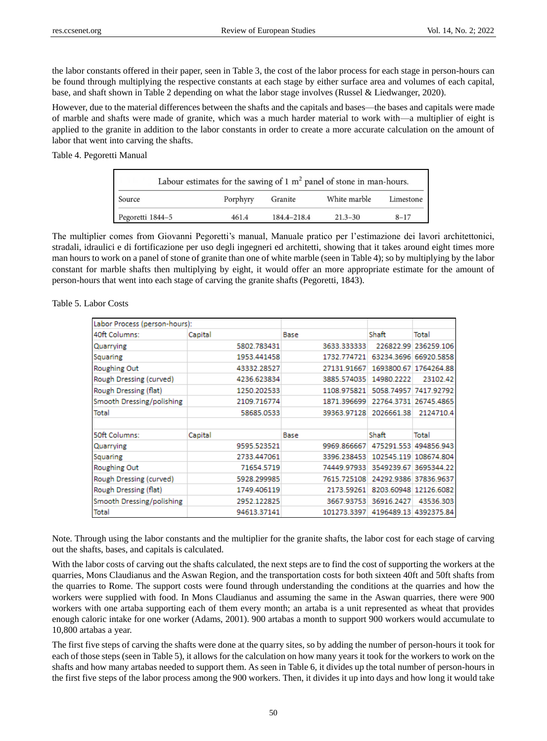the labor constants offered in their paper, seen in Table 3, the cost of the labor process for each stage in person-hours can be found through multiplying the respective constants at each stage by either surface area and volumes of each capital, base, and shaft shown in Table 2 depending on what the labor stage involves (Russel & Liedwanger, 2020).

However, due to the material differences between the shafts and the capitals and bases—the bases and capitals were made of marble and shafts were made of granite, which was a much harder material to work with—a multiplier of eight is applied to the granite in addition to the labor constants in order to create a more accurate calculation on the amount of labor that went into carving the shafts.

Table 4. Pegoretti Manual

| Labour estimates for the sawing of 1 $m2$ panel of stone in man-hours. |          |             |              |           |  |
|------------------------------------------------------------------------|----------|-------------|--------------|-----------|--|
| Source                                                                 | Porphyry | Granite     | White marble | Limestone |  |
| Pegoretti 1844-5                                                       | 461.4    | 184.4-218.4 | $21.3 - 30$  | $8 - 17$  |  |

The multiplier comes from Giovanni Pegoretti's manual, Manuale pratico per l'estimazione dei lavori architettonici, stradali, idraulici e di fortificazione per uso degli ingegneri ed architetti, showing that it takes around eight times more man hours to work on a panel of stone of granite than one of white marble (seen in Table 4); so by multiplying by the labor constant for marble shafts then multiplying by eight, it would offer an more appropriate estimate for the amount of person-hours that went into each stage of carving the granite shafts (Pegoretti, 1843).

| Labor Process (person-hours): |             |             |            |                       |
|-------------------------------|-------------|-------------|------------|-----------------------|
| 40ft Columns:                 | Capital     | Base        | Shaft      | Total                 |
| Quarrying                     | 5802.783431 | 3633.333333 | 226822.99  | 236259.106            |
| Squaring                      | 1953.441458 | 1732.774721 | 63234.3696 | 66920.5858            |
| Roughing Out                  | 43332.28527 | 27131.91667 |            | 1693800.67 1764264.88 |
| Rough Dressing (curved)       | 4236.623834 | 3885.574035 | 14980.2222 | 23102.42              |
| Rough Dressing (flat)         | 1250.202533 | 1108.975821 | 5058.74957 | 7417.92792            |
| Smooth Dressing/polishing     | 2109.716774 | 1871.396699 | 22764.3731 | 26745.4865            |
| Total                         | 58685.0533  | 39363.97128 | 2026661.38 | 2124710.4             |
|                               |             |             |            |                       |
| 50ft Columns:                 | Capital     | Base        | Shaft      | Total                 |
| Quarrying                     | 9595.523521 | 9969.866667 | 475291.553 | 494856.943            |
| Squaring                      | 2733.447061 | 3396.238453 | 102545.119 | 108674.804            |
| Roughing Out                  | 71654.5719  | 74449.97933 | 3549239.67 | 3695344.22            |
| Rough Dressing (curved)       | 5928.299985 | 7615.725108 | 24292.9386 | 37836.9637            |
| Rough Dressing (flat)         | 1749.406119 | 2173.59261  |            | 8203.60948 12126.6082 |
| Smooth Dressing/polishing     | 2952.122825 | 3667.93753  | 36916.2427 | 43536.303             |
| Total                         | 94613.37141 | 101273.3397 | 4196489.13 | 4392375.84            |

Table 5. Labor Costs

Note. Through using the labor constants and the multiplier for the granite shafts, the labor cost for each stage of carving out the shafts, bases, and capitals is calculated.

With the labor costs of carving out the shafts calculated, the next steps are to find the cost of supporting the workers at the quarries, Mons Claudianus and the Aswan Region, and the transportation costs for both sixteen 40ft and 50ft shafts from the quarries to Rome. The support costs were found through understanding the conditions at the quarries and how the workers were supplied with food. In Mons Claudianus and assuming the same in the Aswan quarries, there were 900 workers with one artaba supporting each of them every month; an artaba is a unit represented as wheat that provides enough caloric intake for one worker (Adams, 2001). 900 artabas a month to support 900 workers would accumulate to 10,800 artabas a year.

The first five steps of carving the shafts were done at the quarry sites, so by adding the number of person-hours it took for each of those steps (seen in Table 5), it allows for the calculation on how many years it took for the workers to work on the shafts and how many artabas needed to support them. As seen in Table 6, it divides up the total number of person-hours in the first five steps of the labor process among the 900 workers. Then, it divides it up into days and how long it would take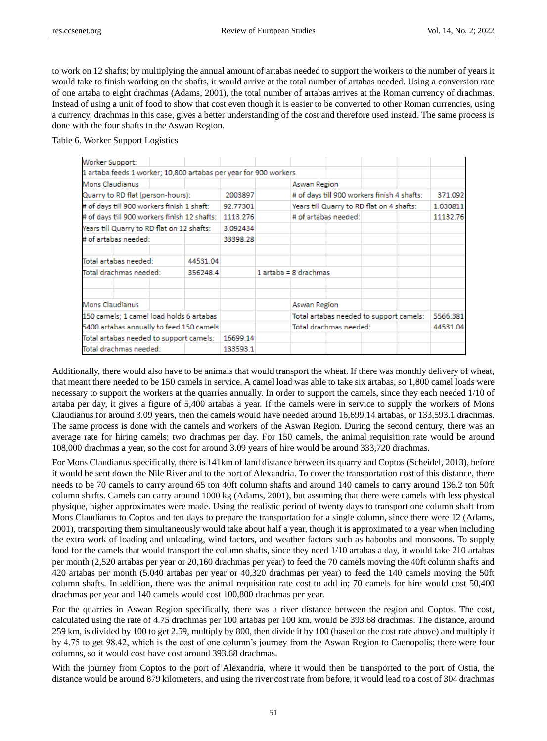to work on 12 shafts; by multiplying the annual amount of artabas needed to support the workers to the number of years it would take to finish working on the shafts, it would arrive at the total number of artabas needed. Using a conversion rate of one artaba to eight drachmas (Adams, 2001), the total number of artabas arrives at the Roman currency of drachmas. Instead of using a unit of food to show that cost even though it is easier to be converted to other Roman currencies, using a currency, drachmas in this case, gives a better understanding of the cost and therefore used instead. The same process is done with the four shafts in the Aswan Region.

Table 6. Worker Support Logistics

| Worker Support:                                                  |          |          |                                             |          |
|------------------------------------------------------------------|----------|----------|---------------------------------------------|----------|
| 1 artaba feeds 1 worker; 10,800 artabas per year for 900 workers |          |          |                                             |          |
| Mons Claudianus                                                  |          |          | Aswan Region                                |          |
| Quarry to RD flat (person-hours):                                |          | 2003897  | # of days till 900 workers finish 4 shafts: | 371.092  |
| # of days till 900 workers finish 1 shaft:                       |          | 92.77301 | Years till Quarry to RD flat on 4 shafts:   | 1.030811 |
| # of days till 900 workers finish 12 shafts:                     |          | 1113.276 | # of artabas needed:                        | 11132.76 |
| Years till Quarry to RD flat on 12 shafts:                       |          | 3.092434 |                                             |          |
| # of artabas needed:                                             |          | 33398.28 |                                             |          |
| Total artabas needed:                                            | 44531.04 |          |                                             |          |
| Total drachmas needed:<br>356248.4                               |          |          | $1$ artaba = 8 drachmas                     |          |
|                                                                  |          |          |                                             |          |
| Mons Claudianus                                                  |          |          | Aswan Region                                |          |
| 150 camels: 1 camel load holds 6 artabas                         |          |          | Total artabas needed to support camels:     | 5566.381 |
| 5400 artabas annually to feed 150 camels                         |          |          | Total drachmas needed:                      | 44531.04 |
| Total artabas needed to support camels:                          |          | 16699.14 |                                             |          |
| Total drachmas needed:                                           |          | 133593.1 |                                             |          |

Additionally, there would also have to be animals that would transport the wheat. If there was monthly delivery of wheat, that meant there needed to be 150 camels in service. A camel load was able to take six artabas, so 1,800 camel loads were necessary to support the workers at the quarries annually. In order to support the camels, since they each needed 1/10 of artaba per day, it gives a figure of 5,400 artabas a year. If the camels were in service to supply the workers of Mons Claudianus for around 3.09 years, then the camels would have needed around 16,699.14 artabas, or 133,593.1 drachmas. The same process is done with the camels and workers of the Aswan Region. During the second century, there was an average rate for hiring camels; two drachmas per day. For 150 camels, the animal requisition rate would be around 108,000 drachmas a year, so the cost for around 3.09 years of hire would be around 333,720 drachmas.

For Mons Claudianus specifically, there is 141km of land distance between its quarry and Coptos (Scheidel, 2013), before it would be sent down the Nile River and to the port of Alexandria. To cover the transportation cost of this distance, there needs to be 70 camels to carry around 65 ton 40ft column shafts and around 140 camels to carry around 136.2 ton 50ft column shafts. Camels can carry around 1000 kg (Adams, 2001), but assuming that there were camels with less physical physique, higher approximates were made. Using the realistic period of twenty days to transport one column shaft from Mons Claudianus to Coptos and ten days to prepare the transportation for a single column, since there were 12 (Adams, 2001), transporting them simultaneously would take about half a year, though it is approximated to a year when including the extra work of loading and unloading, wind factors, and weather factors such as haboobs and monsoons. To supply food for the camels that would transport the column shafts, since they need 1/10 artabas a day, it would take 210 artabas per month (2,520 artabas per year or 20,160 drachmas per year) to feed the 70 camels moving the 40ft column shafts and 420 artabas per month (5,040 artabas per year or 40,320 drachmas per year) to feed the 140 camels moving the 50ft column shafts. In addition, there was the animal requisition rate cost to add in; 70 camels for hire would cost 50,400 drachmas per year and 140 camels would cost 100,800 drachmas per year.

For the quarries in Aswan Region specifically, there was a river distance between the region and Coptos. The cost, calculated using the rate of 4.75 drachmas per 100 artabas per 100 km, would be 393.68 drachmas. The distance, around 259 km, is divided by 100 to get 2.59, multiply by 800, then divide it by 100 (based on the cost rate above) and multiply it by 4.75 to get 98.42, which is the cost of one column's journey from the Aswan Region to Caenopolis; there were four columns, so it would cost have cost around 393.68 drachmas.

With the journey from Coptos to the port of Alexandria, where it would then be transported to the port of Ostia, the distance would be around 879 kilometers, and using the river cost rate from before, it would lead to a cost of 304 drachmas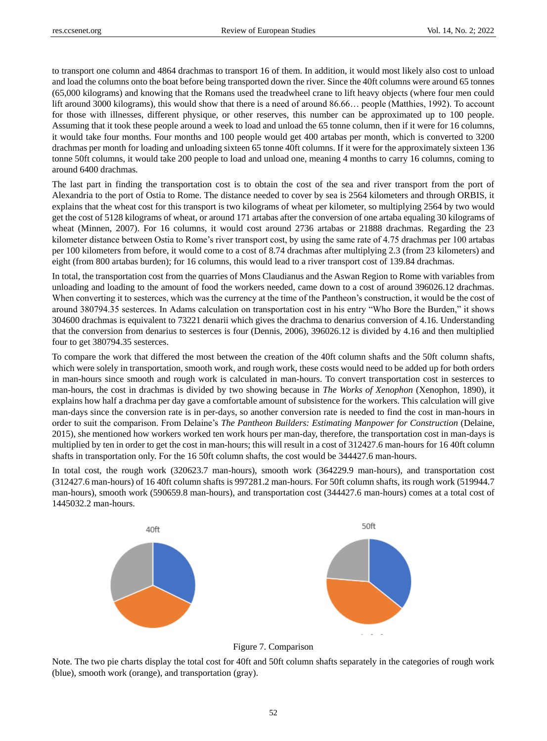to transport one column and 4864 drachmas to transport 16 of them. In addition, it would most likely also cost to unload and load the columns onto the boat before being transported down the river. Since the 40ft columns were around 65 tonnes (65,000 kilograms) and knowing that the Romans used the treadwheel crane to lift heavy objects (where four men could lift around 3000 kilograms), this would show that there is a need of around 86.66… people (Matthies, 1992). To account for those with illnesses, different physique, or other reserves, this number can be approximated up to 100 people. Assuming that it took these people around a week to load and unload the 65 tonne column, then if it were for 16 columns, it would take four months. Four months and 100 people would get 400 artabas per month, which is converted to 3200 drachmas per month for loading and unloading sixteen 65 tonne 40ft columns. If it were for the approximately sixteen 136 tonne 50ft columns, it would take 200 people to load and unload one, meaning 4 months to carry 16 columns, coming to around 6400 drachmas.

The last part in finding the transportation cost is to obtain the cost of the sea and river transport from the port of Alexandria to the port of Ostia to Rome. The distance needed to cover by sea is 2564 kilometers and through ORBIS, it explains that the wheat cost for this transport is two kilograms of wheat per kilometer, so multiplying 2564 by two would get the cost of 5128 kilograms of wheat, or around 171 artabas after the conversion of one artaba equaling 30 kilograms of wheat (Minnen, 2007). For 16 columns, it would cost around 2736 artabas or 21888 drachmas. Regarding the 23 kilometer distance between Ostia to Rome's river transport cost, by using the same rate of 4.75 drachmas per 100 artabas per 100 kilometers from before, it would come to a cost of 8.74 drachmas after multiplying 2.3 (from 23 kilometers) and eight (from 800 artabas burden); for 16 columns, this would lead to a river transport cost of 139.84 drachmas.

In total, the transportation cost from the quarries of Mons Claudianus and the Aswan Region to Rome with variables from unloading and loading to the amount of food the workers needed, came down to a cost of around 396026.12 drachmas. When converting it to sesterces, which was the currency at the time of the Pantheon's construction, it would be the cost of around 380794.35 sesterces. In Adams calculation on transportation cost in his entry "Who Bore the Burden," it shows 304600 drachmas is equivalent to 73221 denarii which gives the drachma to denarius conversion of 4.16. Understanding that the conversion from denarius to sesterces is four (Dennis, 2006), 396026.12 is divided by 4.16 and then multiplied four to get 380794.35 sesterces.

To compare the work that differed the most between the creation of the 40ft column shafts and the 50ft column shafts, which were solely in transportation, smooth work, and rough work, these costs would need to be added up for both orders in man-hours since smooth and rough work is calculated in man-hours. To convert transportation cost in sesterces to man-hours, the cost in drachmas is divided by two showing because in *The Works of Xenophon* (Xenophon, 1890), it explains how half a drachma per day gave a comfortable amount of subsistence for the workers. This calculation will give man-days since the conversion rate is in per-days, so another conversion rate is needed to find the cost in man-hours in order to suit the comparison. From Delaine's *The Pantheon Builders: Estimating Manpower for Construction* (Delaine, 2015), she mentioned how workers worked ten work hours per man-day, therefore, the transportation cost in man-days is multiplied by ten in order to get the cost in man-hours; this will result in a cost of 312427.6 man-hours for 16 40ft column shafts in transportation only. For the 16 50ft column shafts, the cost would be 344427.6 man-hours.

In total cost, the rough work (320623.7 man-hours), smooth work (364229.9 man-hours), and transportation cost (312427.6 man-hours) of 16 40ft column shafts is 997281.2 man-hours. For 50ft column shafts, its rough work (519944.7 man-hours), smooth work (590659.8 man-hours), and transportation cost (344427.6 man-hours) comes at a total cost of 1445032.2 man-hours.



Figure 7. Comparison

Note. The two pie charts display the total cost for 40ft and 50ft column shafts separately in the categories of rough work (blue), smooth work (orange), and transportation (gray).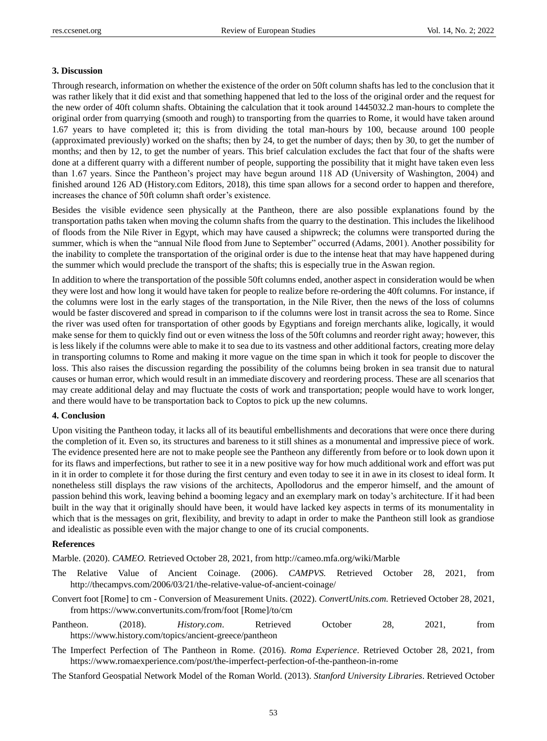#### **3. Discussion**

Through research, information on whether the existence of the order on 50ft column shafts has led to the conclusion that it was rather likely that it did exist and that something happened that led to the loss of the original order and the request for the new order of 40ft column shafts. Obtaining the calculation that it took around 1445032.2 man-hours to complete the original order from quarrying (smooth and rough) to transporting from the quarries to Rome, it would have taken around 1.67 years to have completed it; this is from dividing the total man-hours by 100, because around 100 people (approximated previously) worked on the shafts; then by 24, to get the number of days; then by 30, to get the number of months; and then by 12, to get the number of years. This brief calculation excludes the fact that four of the shafts were done at a different quarry with a different number of people, supporting the possibility that it might have taken even less than 1.67 years. Since the Pantheon's project may have begun around 118 AD (University of Washington, 2004) and finished around 126 AD (History.com Editors, 2018), this time span allows for a second order to happen and therefore, increases the chance of 50ft column shaft order's existence.

Besides the visible evidence seen physically at the Pantheon, there are also possible explanations found by the transportation paths taken when moving the column shafts from the quarry to the destination. This includes the likelihood of floods from the Nile River in Egypt, which may have caused a shipwreck; the columns were transported during the summer, which is when the "annual Nile flood from June to September" occurred (Adams, 2001). Another possibility for the inability to complete the transportation of the original order is due to the intense heat that may have happened during the summer which would preclude the transport of the shafts; this is especially true in the Aswan region.

In addition to where the transportation of the possible 50ft columns ended, another aspect in consideration would be when they were lost and how long it would have taken for people to realize before re-ordering the 40ft columns. For instance, if the columns were lost in the early stages of the transportation, in the Nile River, then the news of the loss of columns would be faster discovered and spread in comparison to if the columns were lost in transit across the sea to Rome. Since the river was used often for transportation of other goods by Egyptians and foreign merchants alike, logically, it would make sense for them to quickly find out or even witness the loss of the 50ft columns and reorder right away; however, this is less likely if the columns were able to make it to sea due to its vastness and other additional factors, creating more delay in transporting columns to Rome and making it more vague on the time span in which it took for people to discover the loss. This also raises the discussion regarding the possibility of the columns being broken in sea transit due to natural causes or human error, which would result in an immediate discovery and reordering process. These are all scenarios that may create additional delay and may fluctuate the costs of work and transportation; people would have to work longer, and there would have to be transportation back to Coptos to pick up the new columns.

#### **4. Conclusion**

Upon visiting the Pantheon today, it lacks all of its beautiful embellishments and decorations that were once there during the completion of it. Even so, its structures and bareness to it still shines as a monumental and impressive piece of work. The evidence presented here are not to make people see the Pantheon any differently from before or to look down upon it for its flaws and imperfections, but rather to see it in a new positive way for how much additional work and effort was put in it in order to complete it for those during the first century and even today to see it in awe in its closest to ideal form. It nonetheless still displays the raw visions of the architects, Apollodorus and the emperor himself, and the amount of passion behind this work, leaving behind a booming legacy and an exemplary mark on today's architecture. If it had been built in the way that it originally should have been, it would have lacked key aspects in terms of its monumentality in which that is the messages on grit, flexibility, and brevity to adapt in order to make the Pantheon still look as grandiose and idealistic as possible even with the major change to one of its crucial components.

## **References**

Marble. (2020). *CAMEO.* Retrieved October 28, 2021, from http://cameo.mfa.org/wiki/Marble

- The Relative Value of Ancient Coinage. (2006). *CAMPVS.* Retrieved October 28, 2021, from http://thecampvs.com/2006/03/21/the-relative-value-of-ancient-coinage/
- Convert foot [Rome] to cm Conversion of Measurement Units. (2022). *ConvertUnits.com.* Retrieved October 28, 2021, from https://www.convertunits.com/from/foot [Rome]/to/cm
- Pantheon. (2018). *History.com*. Retrieved October 28, 2021, from https://www.history.com/topics/ancient-greece/pantheon
- The Imperfect Perfection of The Pantheon in Rome. (2016). *Roma Experience*. Retrieved October 28, 2021, from https://www.romaexperience.com/post/the-imperfect-perfection-of-the-pantheon-in-rome
- The Stanford Geospatial Network Model of the Roman World. (2013). *Stanford University Libraries*. Retrieved October